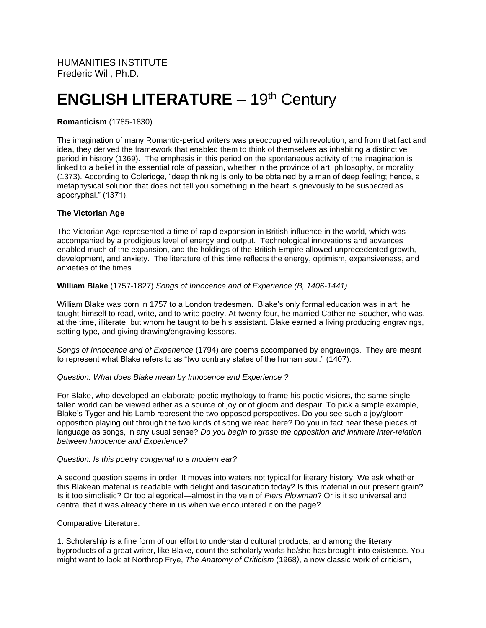# **ENGLISH LITERATURE** - 19<sup>th</sup> Century

# **Romanticism** (1785-1830)

The imagination of many Romantic-period writers was preoccupied with revolution, and from that fact and idea, they derived the framework that enabled them to think of themselves as inhabiting a distinctive period in history (1369). The emphasis in this period on the spontaneous activity of the imagination is linked to a belief in the essential role of passion, whether in the province of art, philosophy, or morality (1373). According to Coleridge, "deep thinking is only to be obtained by a man of deep feeling; hence, a metaphysical solution that does not tell you something in the heart is grievously to be suspected as apocryphal." (1371).

### **The Victorian Age**

The Victorian Age represented a time of rapid expansion in British influence in the world, which was accompanied by a prodigious level of energy and output. Technological innovations and advances enabled much of the expansion, and the holdings of the British Empire allowed unprecedented growth, development, and anxiety. The literature of this time reflects the energy, optimism, expansiveness, and anxieties of the times.

#### **William Blake** (1757-1827) *Songs of Innocence and of Experience (B, 1406-1441)*

William Blake was born in 1757 to a London tradesman. Blake's only formal education was in art; he taught himself to read, write, and to write poetry. At twenty four, he married Catherine Boucher, who was, at the time, illiterate, but whom he taught to be his assistant. Blake earned a living producing engravings, setting type, and giving drawing/engraving lessons.

*Songs of Innocence and of Experience* (1794) are poems accompanied by engravings. They are meant to represent what Blake refers to as "two contrary states of the human soul." (1407).

#### *Question: What does Blake mean by Innocence and Experience ?*

For Blake, who developed an elaborate poetic mythology to frame his poetic visions, the same single fallen world can be viewed either as a source of joy or of gloom and despair. To pick a simple example, Blake's Tyger and his Lamb represent the two opposed perspectives. Do you see such a joy/gloom opposition playing out through the two kinds of song we read here? Do you in fact hear these pieces of language as songs, in any usual sense? *Do you begin to grasp the opposition and intimate inter-relation between Innocence and Experience?*

#### *Question: Is this poetry congenial to a modern ear?*

A second question seems in order. It moves into waters not typical for literary history. We ask whether this Blakean material is readable with delight and fascination today? Is this material in our present grain? Is it too simplistic? Or too allegorical—almost in the vein of *Piers Plowman*? Or is it so universal and central that it was already there in us when we encountered it on the page?

#### Comparative Literature:

1. Scholarship is a fine form of our effort to understand cultural products, and among the literary byproducts of a great writer, like Blake, count the scholarly works he/she has brought into existence. You might want to look at Northrop Frye, *The Anatomy of Criticism* (1968*)*, a now classic work of criticism,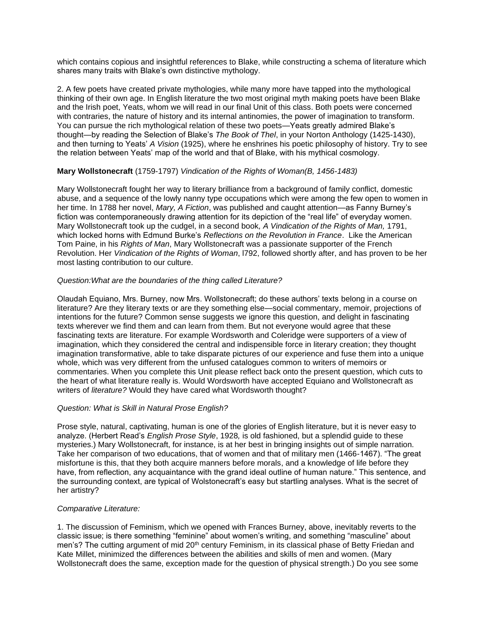which contains copious and insightful references to Blake, while constructing a schema of literature which shares many traits with Blake's own distinctive mythology.

2. A few poets have created private mythologies, while many more have tapped into the mythological thinking of their own age. In English literature the two most original myth making poets have been Blake and the Irish poet, Yeats, whom we will read in our final Unit of this class. Both poets were concerned with contraries, the nature of history and its internal antinomies, the power of imagination to transform. You can pursue the rich mythological relation of these two poets—Yeats greatly admired Blake's thought—by reading the Selection of Blake's *The Book of Thel*, in your Norton Anthology (1425-1430), and then turning to Yeats' *A Vision* (1925), where he enshrines his poetic philosophy of history. Try to see the relation between Yeats' map of the world and that of Blake, with his mythical cosmology.

#### **Mary Wollstonecraft** (1759-1797) *Vindication of the Rights of Woman(B, 1456-1483)*

Mary Wollstonecraft fought her way to literary brilliance from a background of family conflict, domestic abuse, and a sequence of the lowly nanny type occupations which were among the few open to women in her time. In 1788 her novel, *Mary, A Fiction*, was published and caught attention—as Fanny Burney's fiction was contemporaneously drawing attention for its depiction of the "real life" of everyday women. Mary Wollstonecraft took up the cudgel, in a second book*, A Vindication of the Rights of Man,* 1791, which locked horns with Edmund Burke's *Reflections on the Revolution in France*. Like the American Tom Paine, in his *Rights of Man*, Mary Wollstonecraft was a passionate supporter of the French Revolution. Her *Vindication of the Rights of Woman*, l792, followed shortly after, and has proven to be her most lasting contribution to our culture.

#### *Question:What are the boundaries of the thing called Literature?*

Olaudah Equiano, Mrs. Burney, now Mrs. Wollstonecraft; do these authors' texts belong in a course on literature? Are they literary texts or are they something else—social commentary, memoir, projections of intentions for the future? Common sense suggests we ignore this question, and delight in fascinating texts wherever we find them and can learn from them. But not everyone would agree that these fascinating texts are literature. For example Wordsworth and Coleridge were supporters of a view of imagination, which they considered the central and indispensible force in literary creation; they thought imagination transformative, able to take disparate pictures of our experience and fuse them into a unique whole, which was very different from the unfused catalogues common to writers of memoirs or commentaries. When you complete this Unit please reflect back onto the present question, which cuts to the heart of what literature really is. Would Wordsworth have accepted Equiano and Wollstonecraft as writers of *literature?* Would they have cared what Wordsworth thought?

#### *Question: What is Skill in Natural Prose English?*

Prose style, natural, captivating, human is one of the glories of English literature, but it is never easy to analyze. (Herbert Read's *English Prose Style*, 1928*,* is old fashioned, but a splendid guide to these mysteries.) Mary Wollstonecraft, for instance, is at her best in bringing insights out of simple narration. Take her comparison of two educations, that of women and that of military men (1466-1467). "The great misfortune is this, that they both acquire manners before morals, and a knowledge of life before they have, from reflection, any acquaintance with the grand ideal outline of human nature." This sentence, and the surrounding context, are typical of Wolstonecraft's easy but startling analyses. What is the secret of her artistry?

#### *Comparative Literature:*

1. The discussion of Feminism, which we opened with Frances Burney, above, inevitably reverts to the classic issue; is there something "feminine" about women's writing, and something "masculine" about men's? The cutting argument of mid 20<sup>th</sup> century Feminism, in its classical phase of Betty Friedan and Kate Millet, minimized the differences between the abilities and skills of men and women. (Mary Wollstonecraft does the same, exception made for the question of physical strength.) Do you see some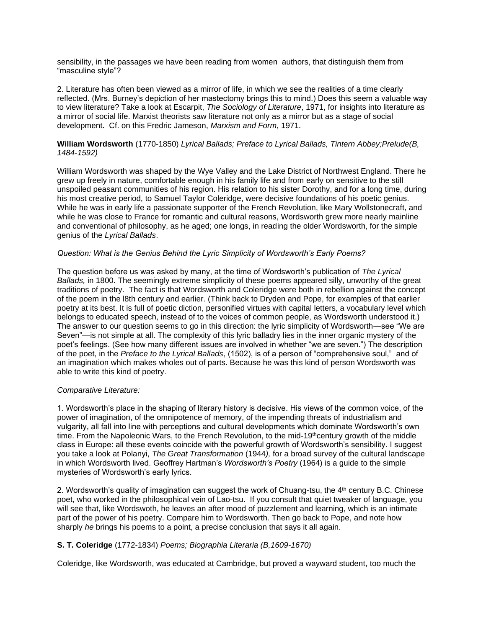sensibility, in the passages we have been reading from women authors, that distinguish them from "masculine style"?

2. Literature has often been viewed as a mirror of life, in which we see the realities of a time clearly reflected. (Mrs. Burney's depiction of her mastectomy brings this to mind.) Does this seem a valuable way to view literature? Take a look at Escarpit, *The Sociology of Literature*, 1971, for insights into literature as a mirror of social life. Marxist theorists saw literature not only as a mirror but as a stage of social development. Cf. on this Fredric Jameson, *Marxism and Form*, 1971.

#### **William Wordsworth** (1770-1850) *Lyrical Ballads; Preface to Lyrical Ballads, Tintern Abbey;Prelude(B, 1484-1592)*

William Wordsworth was shaped by the Wye Valley and the Lake District of Northwest England. There he grew up freely in nature, comfortable enough in his family life and from early on sensitive to the still unspoiled peasant communities of his region. His relation to his sister Dorothy, and for a long time, during his most creative period, to Samuel Taylor Coleridge, were decisive foundations of his poetic genius. While he was in early life a passionate supporter of the French Revolution, like Mary Wollstonecraft, and while he was close to France for romantic and cultural reasons, Wordsworth grew more nearly mainline and conventional of philosophy, as he aged; one longs, in reading the older Wordsworth, for the simple genius of the *Lyrical Ballads*.

#### *Question: What is the Genius Behind the Lyric Simplicity of Wordsworth's Early Poems?*

The question before us was asked by many, at the time of Wordsworth's publication of *The Lyrical Ballads,* in 1800. The seemingly extreme simplicity of these poems appeared silly, unworthy of the great traditions of poetry. The fact is that Wordsworth and Coleridge were both in rebellion against the concept of the poem in the l8th century and earlier. (Think back to Dryden and Pope, for examples of that earlier poetry at its best. It is full of poetic diction, personified virtues with capital letters, a vocabulary level which belongs to educated speech, instead of to the voices of common people, as Wordsworth understood it.) The answer to our question seems to go in this direction: the lyric simplicity of Wordsworth—see "We are Seven"—is not simple at all. The complexity of this lyric balladry lies in the inner organic mystery of the poet's feelings. (See how many different issues are involved in whether "we are seven.") The description of the poet, in the *Preface to the Lyrical Ballads*, (1502), is of a person of "comprehensive soul," and of an imagination which makes wholes out of parts. Because he was this kind of person Wordsworth was able to write this kind of poetry.

#### *Comparative Literature:*

1. Wordsworth's place in the shaping of literary history is decisive. His views of the common voice, of the power of imagination, of the omnipotence of memory, of the impending threats of industrialism and vulgarity, all fall into line with perceptions and cultural developments which dominate Wordsworth's own time. From the Napoleonic Wars, to the French Revolution, to the mid-19th century growth of the middle class in Europe: all these events coincide with the powerful growth of Wordsworth's sensibility. I suggest you take a look at Polanyi, *The Great Transformation* (1944*),* for a broad survey of the cultural landscape in which Wordsworth lived. Geoffrey Hartman's *Wordsworth's Poetry* (1964) is a guide to the simple mysteries of Wordsworth's early lyrics.

2. Wordsworth's quality of imagination can suggest the work of Chuang-tsu, the 4<sup>th</sup> century B.C. Chinese poet, who worked in the philosophical vein of Lao-tsu. If you consult that quiet tweaker of language, you will see that, like Wordswoth, he leaves an after mood of puzzlement and learning, which is an intimate part of the power of his poetry. Compare him to Wordsworth. Then go back to Pope, and note how sharply *he* brings his poems to a point, a precise conclusion that says it all again.

#### **S. T. Coleridge** (1772-1834) *Poems; Biographia Literaria (B,1609-1670)*

Coleridge, like Wordsworth, was educated at Cambridge, but proved a wayward student, too much the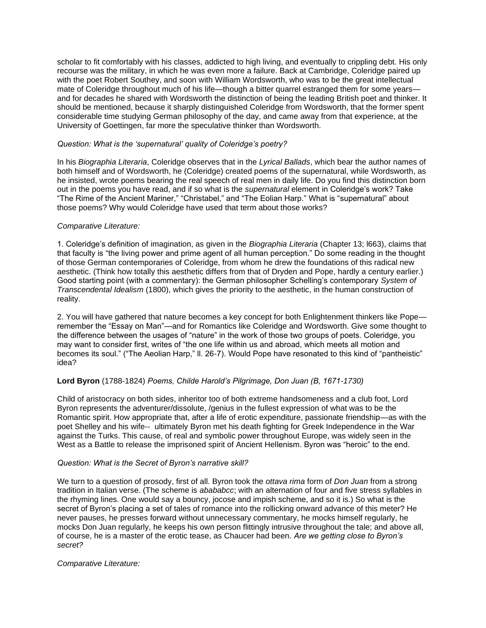scholar to fit comfortably with his classes, addicted to high living, and eventually to crippling debt. His only recourse was the military, in which he was even more a failure. Back at Cambridge, Coleridge paired up with the poet Robert Southey, and soon with William Wordsworth, who was to be the great intellectual mate of Coleridge throughout much of his life—though a bitter guarrel estranged them for some years and for decades he shared with Wordsworth the distinction of being the leading British poet and thinker. It should be mentioned, because it sharply distinguished Coleridge from Wordsworth, that the former spent considerable time studying German philosophy of the day, and came away from that experience, at the University of Goettingen, far more the speculative thinker than Wordsworth.

#### *Question: What is the 'supernatural' quality of Coleridge's poetry?*

In his *Biographia Literaria*, Coleridge observes that in the *Lyrical Ballads*, which bear the author names of both himself and of Wordsworth, he (Coleridge) created poems of the supernatural, while Wordsworth, as he insisted, wrote poems bearing the real speech of real men in daily life. Do you find this distinction born out in the poems you have read, and if so what is the *supernatural* element in Coleridge's work? Take "The Rime of the Ancient Mariner," "Christabel," and "The Eolian Harp." What is "supernatural" about those poems? Why would Coleridge have used that term about those works?

#### *Comparative Literature:*

1. Coleridge's definition of imagination, as given in the *Biographia Literaria* (Chapter 13; l663), claims that that faculty is "the living power and prime agent of all human perception." Do some reading in the thought of those German contemporaries of Coleridge, from whom he drew the foundations of this radical new aesthetic. (Think how totally this aesthetic differs from that of Dryden and Pope, hardly a century earlier.) Good starting point (with a commentary): the German philosopher Schelling's contemporary *System of Transcendental Idealism* (1800), which gives the priority to the aesthetic, in the human construction of reality.

2. You will have gathered that nature becomes a key concept for both Enlightenment thinkers like Pope remember the "Essay on Man"—and for Romantics like Coleridge and Wordsworth. Give some thought to the difference between the usages of "nature" in the work of those two groups of poets. Coleridge, you may want to consider first, writes of "the one life within us and abroad, which meets all motion and becomes its soul." ("The Aeolian Harp," ll. 26-7). Would Pope have resonated to this kind of "pantheistic" idea?

# **Lord Byron** (1788-1824) *Poems, Childe Harold's Pilgrimage, Don Juan (B, 1671-1730)*

Child of aristocracy on both sides, inheritor too of both extreme handsomeness and a club foot, Lord Byron represents the adventurer/dissolute, /genius in the fullest expression of what was to be the Romantic spirit. How appropriate that, after a life of erotic expenditure, passionate friendship—as with the poet Shelley and his wife-- ultimately Byron met his death fighting for Greek Independence in the War against the Turks. This cause, of real and symbolic power throughout Europe, was widely seen in the West as a Battle to release the imprisoned spirit of Ancient Hellenism. Byron was "heroic" to the end.

#### *Question: What is the Secret of Byron's narrative skill?*

We turn to a question of prosody, first of all. Byron took the *ottava rima* form of *Don Juan* from a strong tradition in Italian verse. (The scheme is *abababcc*; with an alternation of four and five stress syllables in the rhyming lines. One would say a bouncy, jocose and impish scheme, and so it is.) So what is the secret of Byron's placing a set of tales of romance into the rollicking onward advance of this meter? He never pauses, he presses forward without unnecessary commentary, he mocks himself regularly, he mocks Don Juan regularly, he keeps his own person flittingly intrusive throughout the tale; and above all, of course, he is a master of the erotic tease, as Chaucer had been. *Are we getting close to Byron's secret?*

#### *Comparative Literature:*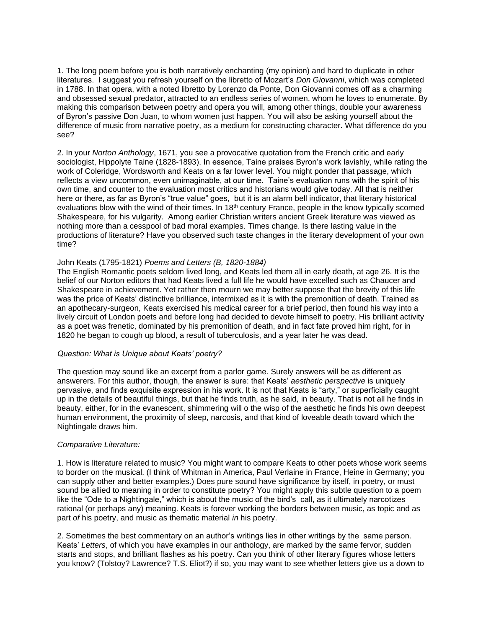1. The long poem before you is both narratively enchanting (my opinion) and hard to duplicate in other literatures. I suggest you refresh yourself on the libretto of Mozart's *Don Giovanni*, which was completed in 1788. In that opera, with a noted libretto by Lorenzo da Ponte, Don Giovanni comes off as a charming and obsessed sexual predator, attracted to an endless series of women, whom he loves to enumerate. By making this comparison between poetry and opera you will, among other things, double your awareness of Byron's passive Don Juan, to whom women just happen. You will also be asking yourself about the difference of music from narrative poetry, as a medium for constructing character. What difference do you see?

2. In your *Norton Anthology*, 1671, you see a provocative quotation from the French critic and early sociologist, Hippolyte Taine (1828-1893). In essence, Taine praises Byron's work lavishly, while rating the work of Coleridge, Wordsworth and Keats on a far lower level. You might ponder that passage, which reflects a view uncommon, even unimaginable, at our time. Taine's evaluation runs with the spirit of his own time, and counter to the evaluation most critics and historians would give today. All that is neither here or there, as far as Byron's "true value" goes, but it is an alarm bell indicator, that literary historical evaluations blow with the wind of their times. In  $18<sup>th</sup>$  century France, people in the know typically scorned Shakespeare, for his vulgarity. Among earlier Christian writers ancient Greek literature was viewed as nothing more than a cesspool of bad moral examples. Times change. Is there lasting value in the productions of literature? Have you observed such taste changes in the literary development of your own time?

#### John Keats (1795-1821) *Poems and Letters (B, 1820-1884)*

The English Romantic poets seldom lived long, and Keats led them all in early death, at age 26. It is the belief of our Norton editors that had Keats lived a full life he would have excelled such as Chaucer and Shakespeare in achievement. Yet rather then mourn we may better suppose that the brevity of this life was the price of Keats' distinctive brilliance, intermixed as it is with the premonition of death. Trained as an apothecary-surgeon, Keats exercised his medical career for a brief period, then found his way into a lively circuit of London poets and before long had decided to devote himself to poetry. His brilliant activity as a poet was frenetic, dominated by his premonition of death, and in fact fate proved him right, for in 1820 he began to cough up blood, a result of tuberculosis, and a year later he was dead.

#### *Question: What is Unique about Keats' poetry?*

The question may sound like an excerpt from a parlor game. Surely answers will be as different as answerers. For this author, though, the answer is sure: that Keats' *aesthetic perspective* is uniquely pervasive, and finds exquisite expression in his work. It is not that Keats is "arty," or superficially caught up in the details of beautiful things, but that he finds truth, as he said, in beauty. That is not all he finds in beauty, either, for in the evanescent, shimmering will o the wisp of the aesthetic he finds his own deepest human environment, the proximity of sleep, narcosis, and that kind of loveable death toward which the Nightingale draws him.

#### *Comparative Literature:*

1. How is literature related to music? You might want to compare Keats to other poets whose work seems to border on the musical. (I think of Whitman in America, Paul Verlaine in France, Heine in Germany; you can supply other and better examples.) Does pure sound have significance by itself, in poetry, or must sound be allied to meaning in order to constitute poetry? You might apply this subtle question to a poem like the "Ode to a Nightingale," which is about the music of the bird's call, as it ultimately narcotizes rational (or perhaps any) meaning. Keats is forever working the borders between music, as topic and as part *of* his poetry, and music as thematic material *in* his poetry.

2. Sometimes the best commentary on an author's writings lies in other writings by the same person. Keats' *Letters*, of which you have examples in our anthology, are marked by the same fervor, sudden starts and stops, and brilliant flashes as his poetry. Can you think of other literary figures whose letters you know? (Tolstoy? Lawrence? T.S. Eliot?) if so, you may want to see whether letters give us a down to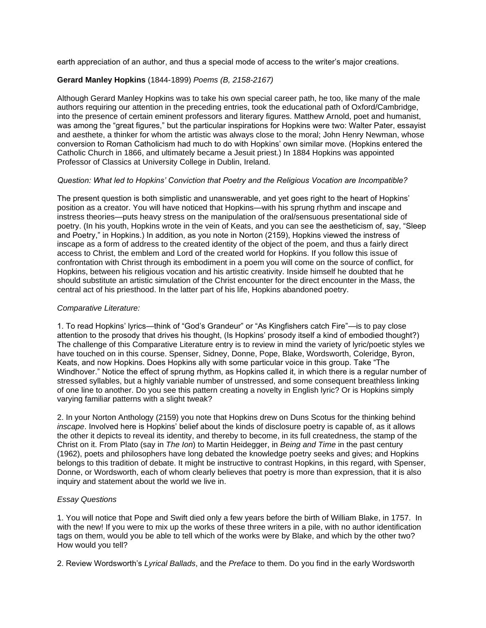earth appreciation of an author, and thus a special mode of access to the writer's major creations.

#### **Gerard Manley Hopkins** (1844-1899) *Poems (B, 2158-2167)*

Although Gerard Manley Hopkins was to take his own special career path, he too, like many of the male authors requiring our attention in the preceding entries, took the educational path of Oxford/Cambridge, into the presence of certain eminent professors and literary figures. Matthew Arnold, poet and humanist, was among the "great figures," but the particular inspirations for Hopkins were two: Walter Pater, essayist and aesthete, a thinker for whom the artistic was always close to the moral; John Henry Newman, whose conversion to Roman Catholicism had much to do with Hopkins' own similar move. (Hopkins entered the Catholic Church in 1866, and ultimately became a Jesuit priest.) In 1884 Hopkins was appointed Professor of Classics at University College in Dublin, Ireland.

#### *Question: What led to Hopkins' Conviction that Poetry and the Religious Vocation are Incompatible?*

The present question is both simplistic and unanswerable, and yet goes right to the heart of Hopkins' position as a creator. You will have noticed that Hopkins—with his sprung rhythm and inscape and instress theories—puts heavy stress on the manipulation of the oral/sensuous presentational side of poetry. (In his youth, Hopkins wrote in the vein of Keats, and you can see the aestheticism of, say, "Sleep and Poetry," in Hopkins.) In addition, as you note in Norton (2159), Hopkins viewed the instress of inscape as a form of address to the created identity of the object of the poem, and thus a fairly direct access to Christ, the emblem and Lord of the created world for Hopkins. If you follow this issue of confrontation with Christ through its embodiment in a poem you will come on the source of conflict, for Hopkins, between his religious vocation and his artistic creativity. Inside himself he doubted that he should substitute an artistic simulation of the Christ encounter for the direct encounter in the Mass, the central act of his priesthood. In the latter part of his life, Hopkins abandoned poetry.

#### *Comparative Literature:*

1. To read Hopkins' lyrics—think of "God's Grandeur" or "As Kingfishers catch Fire"—is to pay close attention to the prosody that drives his thought, (Is Hopkins' prosody itself a kind of embodied thought?) The challenge of this Comparative Literature entry is to review in mind the variety of lyric/poetic styles we have touched on in this course. Spenser, Sidney, Donne, Pope, Blake, Wordsworth, Coleridge, Byron, Keats, and now Hopkins. Does Hopkins ally with some particular voice in this group. Take "The Windhover." Notice the effect of sprung rhythm, as Hopkins called it, in which there is a regular number of stressed syllables, but a highly variable number of unstressed, and some consequent breathless linking of one line to another. Do you see this pattern creating a novelty in English lyric? Or is Hopkins simply varying familiar patterns with a slight tweak?

2. In your Norton Anthology (2159) you note that Hopkins drew on Duns Scotus for the thinking behind *inscape*. Involved here is Hopkins' belief about the kinds of disclosure poetry is capable of, as it allows the other it depicts to reveal its identity, and thereby to become, in its full createdness, the stamp of the Christ on it. From Plato (say in *The Ion*) to Martin Heidegger, in *Being and Time* in the past century (1962), poets and philosophers have long debated the knowledge poetry seeks and gives; and Hopkins belongs to this tradition of debate. It might be instructive to contrast Hopkins, in this regard, with Spenser, Donne, or Wordsworth, each of whom clearly believes that poetry is more than expression, that it is also inquiry and statement about the world we live in.

#### *Essay Questions*

1. You will notice that Pope and Swift died only a few years before the birth of William Blake, in 1757. In with the new! If you were to mix up the works of these three writers in a pile, with no author identification tags on them, would you be able to tell which of the works were by Blake, and which by the other two? How would you tell?

2. Review Wordsworth's *Lyrical Ballads*, and the *Preface* to them. Do you find in the early Wordsworth